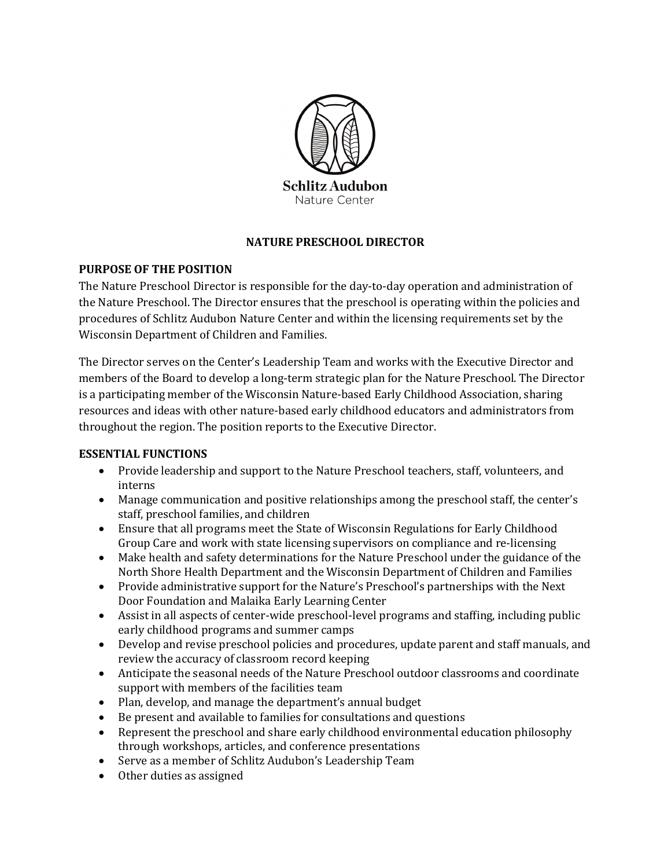

### **NATURE PRESCHOOL DIRECTOR**

### **PURPOSE OF THE POSITION**

The Nature Preschool Director is responsible for the day-to-day operation and administration of the Nature Preschool. The Director ensures that the preschool is operating within the policies and procedures of Schlitz Audubon Nature Center and within the licensing requirements set by the Wisconsin Department of Children and Families.

The Director serves on the Center's Leadership Team and works with the Executive Director and members of the Board to develop a long-term strategic plan for the Nature Preschool. The Director is a participating member of the Wisconsin Nature-based Early Childhood Association, sharing resources and ideas with other nature-based early childhood educators and administrators from throughout the region. The position reports to the Executive Director.

### **ESSENTIAL FUNCTIONS**

- Provide leadership and support to the Nature Preschool teachers, staff, volunteers, and interns
- Manage communication and positive relationships among the preschool staff, the center's staff, preschool families, and children
- Ensure that all programs meet the State of Wisconsin Regulations for Early Childhood Group Care and work with state licensing supervisors on compliance and re-licensing
- Make health and safety determinations for the Nature Preschool under the guidance of the North Shore Health Department and the Wisconsin Department of Children and Families
- Provide administrative support for the Nature's Preschool's partnerships with the Next Door Foundation and Malaika Early Learning Center
- Assist in all aspects of center-wide preschool-level programs and staffing, including public early childhood programs and summer camps
- Develop and revise preschool policies and procedures, update parent and staff manuals, and review the accuracy of classroom record keeping
- Anticipate the seasonal needs of the Nature Preschool outdoor classrooms and coordinate support with members of the facilities team
- Plan, develop, and manage the department's annual budget
- Be present and available to families for consultations and questions
- Represent the preschool and share early childhood environmental education philosophy through workshops, articles, and conference presentations
- Serve as a member of Schlitz Audubon's Leadership Team
- Other duties as assigned